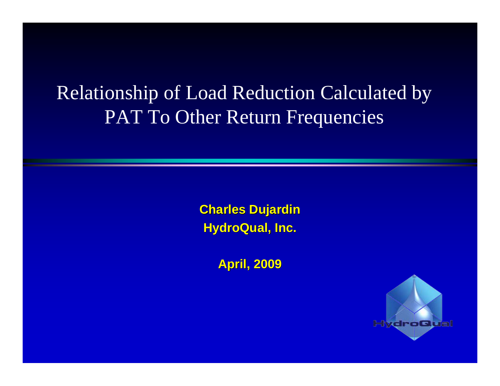### Relationship of Load Reduction Calculated by PAT To Other Return Frequencies

**Charles Dujardin Charles Dujardin HydroQual, Inc. HydroQual, Inc.**

**April, 2009 April, 2009**

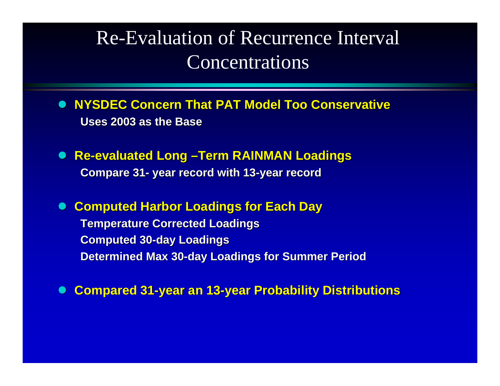#### Re-Evaluation of Recurrence Interval Concentrations

- $\bullet$ **• NYSDEC Concern That PAT Model Too Conservative Uses 2003 as the Base Uses 2003 as the Base**
- $\bullet$ **• Re-evaluated Long -Term RAINMAN Loadings Compare 31 Compare 31 - year record with 13 year record with 13 -year record year record**
- $\bullet$ **Computed Harbor Loadings for Each Day**

**Temperature Corrected Loadings Temperature Corrected Loadings Computed 30 Computed 30 -day Loadings day Loadings Determined Max 30 Determined Max 30 -day Loadings for Summer Period day Loadings for Summer Period**

 $\bullet$ **Compared 31 Compared 31 -year an 13 year an 13 -year Probability Distributions year Probability Distributions**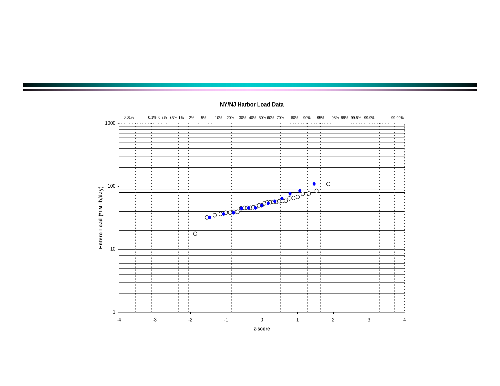

#### **NY/NJ Harbor Load Data**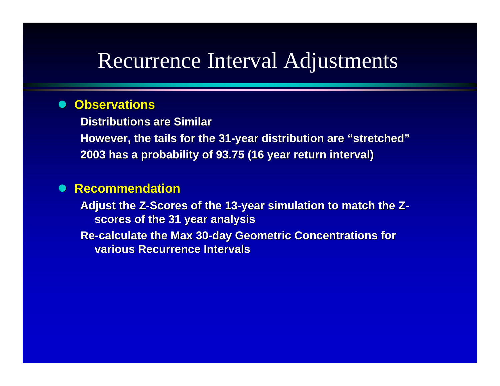### Recurrence Interval Adjustments

#### $\bullet$ **Observations Observations**

**Distributions are Similar Distributions are SimilarHowever, the tails for the 31 However, the tails for the 31 -year distribution are year distribution are "stretched stretched "2003 has a probability of 93.75 (16 year return interval) 2003 has a probability of 93.75 (16 year return interval)**

#### $\bullet$ **Recommendation Recommendation**

**Adjust the Z Adjust the Z -Scores of the 13 Scores of the 13 -year simulation to match the Z year simulation to match the Z scores of the 31 year analysis scores of the 31 year analysis**

**Re -calculate the Max 30 calculate the Max 30 -day Geometric Concentrations for day Geometric Concentrations for various Recurrence Intervals**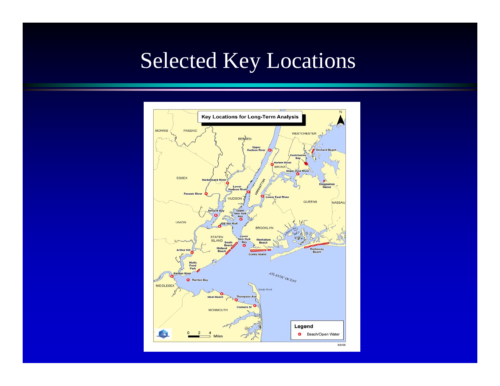## Selected Key Locations

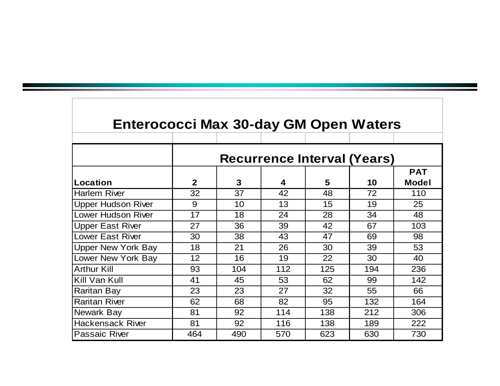| <b>Enterococci Max 30-day GM Open Waters</b> |                                    |     |                         |     |     |                            |  |
|----------------------------------------------|------------------------------------|-----|-------------------------|-----|-----|----------------------------|--|
|                                              | <b>Recurrence Interval (Years)</b> |     |                         |     |     |                            |  |
| Location                                     | $\overline{2}$                     | 3   | $\overline{\mathbf{4}}$ | 5   | 10  | <b>PAT</b><br><b>Model</b> |  |
| <b>Harlem River</b>                          | 32                                 | 37  | 42                      | 48  | 72  | 110                        |  |
| <b>Upper Hudson River</b>                    | 9                                  | 10  | 13                      | 15  | 19  | 25                         |  |
| <b>Lower Hudson River</b>                    | 17                                 | 18  | 24                      | 28  | 34  | 48                         |  |
| <b>Upper East River</b>                      | 27                                 | 36  | 39                      | 42  | 67  | 103                        |  |
| <b>Lower East River</b>                      | 30                                 | 38  | 43                      | 47  | 69  | 98                         |  |
| <b>Upper New York Bay</b>                    | 18                                 | 21  | 26                      | 30  | 39  | 53                         |  |
| Lower New York Bay                           | 12 <sup>2</sup>                    | 16  | 19                      | 22  | 30  | 40                         |  |
| <b>Arthur Kill</b>                           | 93                                 | 104 | 112                     | 125 | 194 | 236                        |  |
| Kill Van Kull                                | 41                                 | 45  | 53                      | 62  | 99  | 142                        |  |
| <b>Raritan Bay</b>                           | 23                                 | 23  | 27                      | 32  | 55  | 66                         |  |
| <b>Raritan River</b>                         | 62                                 | 68  | 82                      | 95  | 132 | 164                        |  |
| Newark Bay                                   | 81                                 | 92  | 114                     | 138 | 212 | 306                        |  |
| <b>Hackensack River</b>                      | 81                                 | 92  | 116                     | 138 | 189 | 222                        |  |
| <b>Passaic River</b>                         | 464                                | 490 | 570                     | 623 | 630 | 730                        |  |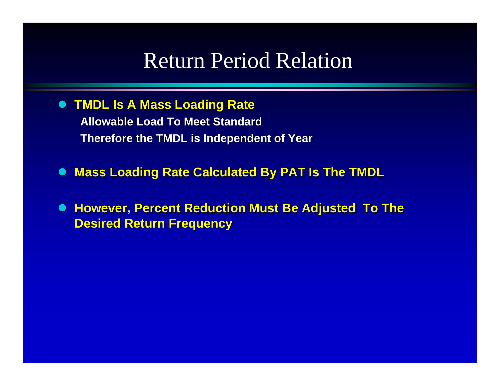### Return Period Relation

 $\bullet$ **TMDL Is A Mass Loading Rate TMDL Is A Mass Loading Rate**

> **Allowable Load To Meet Standard Allowable Load To Meet StandardTherefore the TMDL is Independent of Year Therefore the TMDL is Independent of Year**

 $\bullet$ **Mass Loading Rate Calculated By PAT Is The TMDL** 

 $\bullet$ **However, Percent Reduction Must Be Adjusted To The Desired Retur Desired Return Frequency n Frequency**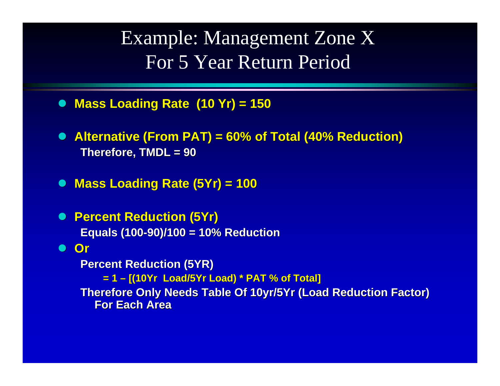Example: Management Zone X For 5 Year Return Period

- $\bullet$ **Mass Loading Rate (10 Yr) = 150 Mass Loading Rate (10 Yr) = 150**
- $\bullet$ Alternative (From PAT) = 60% of Total (40% Reduction) **Therefore, TMDL = 90 Therefore, TMDL = 90**

 $\bullet$ **Mass Loading Rate (5Yr) = 100** 

 $\bullet$  **Percent Reduction (5Yr) Percent Reduction (5Yr) Equals (100 Equals (100 -90)/100 = 10% Reduction 90)/100 = 10% Reduction**

z **Or**

**Percent Reduction (5YR) = 1 – [(10Yr Load/5Yr Load) \* PAT % of Total] [(10Yr Load/5Yr Load) \* PAT % of Total] Therefore Only Needs Table Of 10yr/5Yr (Load Reduction Factor) For Each Area For Each Area**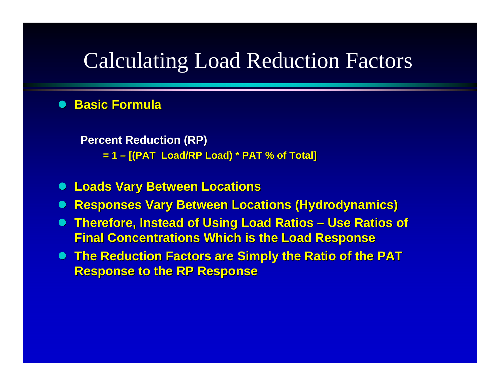## Calculating Load Reduction Factors

#### $\bullet$ **Basic Formula Basic Formula**

**Percent Reduction (RP)** 

**= 1 – [(PAT Load/RP Load) \* PAT % of Total] [(PAT Load/RP Load) \* PAT % of Total]**

- **z Loads Vary Between Locations Loads Vary Between Locations**
- $\bullet$ **Responses Vary Between Locations (Hydrodynamics) Responses Vary Between Locations (Hydrodynamics)**
- $\bullet$ **• Therefore, Instead of Using Load Ratios – Use Ratios of Final Concentrations Which is the Load Response Final Concentrations Which is the Load Response**
- **The Reduction Factors are Simply the Ratio of the PAT Response to the RP Response**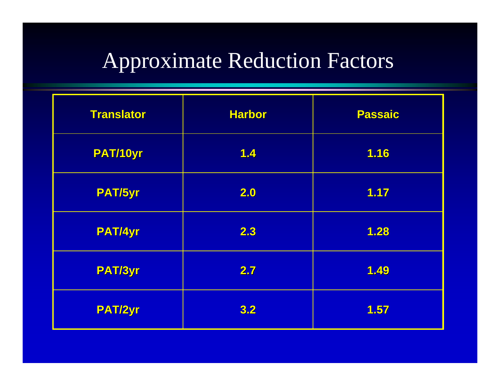# Approximate Reduction Factors

| <b>Translator</b> | <b>Harbor</b> | <b>Passaic</b> |
|-------------------|---------------|----------------|
| PAT/10yr          | 1.4           | 1.16           |
| PAT/5yr           | 2.0           | 1.17           |
| <b>PAT/4yr</b>    | 2.3           | 1.28           |
| PAT/3yr           | 2.7           | 1.49           |
| PAT/2yr           | 3.2           | 1.57           |